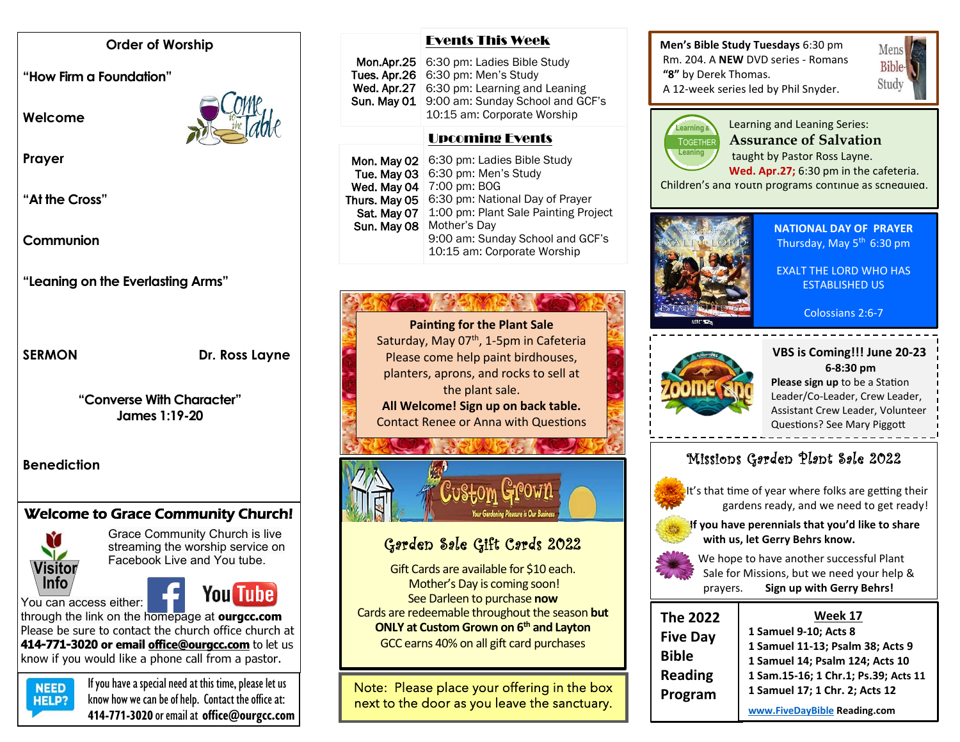#### **Order of Worship**

**"How Firm a Foundation"** 

**Welcome** 



**Prayer**

**"At the Cross"**

**Communion**

**"Leaning on the Everlasting Arms"**

SERMON Dr. Ross Layne

**"Converse With Character" James 1:19-20**

**Benediction**

# Welcome to Grace Community Church!



Grace Community Church is live streaming the worship service on Facebook Live and You tube.

# You Tube

You can access either: through the link on the homepage at **ourgcc.com** 

Please be sure to contact the church office church at **414-771-3020 or email [office@ourgcc.com](mailto:office@ourgcc.com)** to let us know if you would like a phone call from a pastor.



 $NED$  If you have a special need at this time, please let us **HELP?** know how we can be of help. Contact the office at: **414-771-3020** or email at **[office@ourgcc.com](mailto:office@ourgcc.com)**

#### Events This Week

| Mon.Apr.25 6:30 pm: Ladies Bible Study                                      |
|-----------------------------------------------------------------------------|
| Tues. Apr. $26 \mid 6:30 \text{ pm}$ : Men's Study                          |
| Wed. Apr.27   6:30 pm: Learning and Leaning                                 |
| Sun. May 01 9:00 am: Sunday School and GCF's<br>10:15 am: Corporate Worship |

## Upcoming Events

| Mon. May 02   | 6:30 pm: Ladies Bible Study                                     |
|---------------|-----------------------------------------------------------------|
| Tue. May 03   | 6:30 pm: Men's Study                                            |
| Wed. May 04   | 7:00 pm: BOG                                                    |
| Thurs. May 05 | 6:30 pm: National Day of Prayer                                 |
| Sat. May 07   | 1:00 pm: Plant Sale Painting Project                            |
| Sun. May 08   | Mother's Day                                                    |
|               | 9:00 am: Sunday School and GCF's<br>10:15 am: Corporate Worship |
|               |                                                                 |

# 6:30 pm: Learning and Leaning

**Painting for the Plant Sale** Saturday, May  $07<sup>th</sup>$ , 1-5pm in Cafeteria Please come help paint birdhouses, planters, aprons, and rocks to sell at the plant sale. **All Welcome! Sign up on back table.**  Contact Renee or Anna with Questions



# Garden Sale Gift Cards 2022

Gift Cards are available for \$10 each. Mother's Day is coming soon! See Darleen to purchase **now** Cards are redeemable throughout the season **but ONLY at Custom Grown on 6th and Layton** GCC earns 40% on all gift card purchases

Note: Please place your offering in the box next to the door as you leave the sanctuary.

#### **Men's Bible Study Tuesdays** 6:30 pm Rm. 204. A **NEW** DVD series - Romans **"8"** by Derek Thomas. A 12-week series led by Phil Snyder.





Learning and Leaning Series: **Assurance of Salvation** taught by Pastor Ross Layne.

Children's and Youth programs continue as scheduled. **Wed. Apr.27;** 6:30 pm in the cafeteria.



**NATIONAL DAY OF PRAYER** Thursday, May 5<sup>th</sup> 6:30 pm

EXALT THE LORD WHO HAS ESTABLISHED US

#### Colossians 2:6-7



#### **VBS is Coming!!! June 20-23 6-8:30 pm**

**Please sign up** to be a Station Leader/Co-Leader, Crew Leader, Assistant Crew Leader, Volunteer Questions? See Mary Piggott

# Missions Garden Plant Sale 2022



 It's that time of year where folks are getting their gardens ready, and we need to get ready!



 **If you have perennials that you'd like to share with us, let Gerry Behrs know.**



 We hope to have another successful Plant Sale for Missions, but we need your help & prayers. **Sign up with Gerry Behrs!**

| <b>The 2022</b> | Week 17                              |
|-----------------|--------------------------------------|
| <b>Five Day</b> | 1 Samuel 9-10; Acts 8                |
| <b>Bible</b>    | 1 Samuel 11-13; Psalm 38; Acts 9     |
|                 | 1 Samuel 14; Psalm 124; Acts 10      |
| <b>Reading</b>  | 1 Sam.15-16; 1 Chr.1; Ps.39; Acts 11 |
| Program         | 1 Samuel 17; 1 Chr. 2; Acts 12       |
|                 | www.FiveDayBible Reading.com         |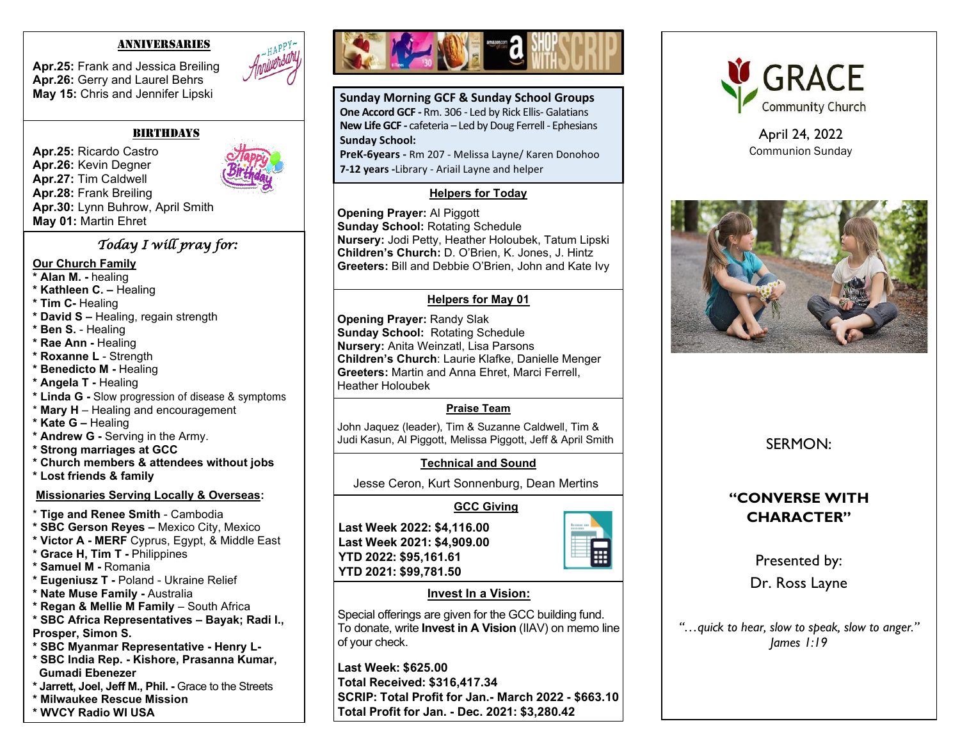#### ANNIVERSARIES

**Apr.25:** Frank and Jessica Breiling **Apr.26:** Gerry and Laurel Behrs **May 15:** Chris and Jennifer Lipski



**BIRTHDAYS** 

**Apr.25:** Ricardo Castro **Apr.26:** Kevin Degner **Apr.27:** Tim Caldwell **Apr.28:** Frank Breiling **Apr.30:** Lynn Buhrow, April Smith **May 01:** Martin Ehret

### *Today I will pray for:*

#### **Our Church Family**

- **\* Alan M. -** healing
- **\* Kathleen C. –** Healing
- **\* Tim C-** Healing
- **\* David S –** Healing, regain strength
- **\* Ben S.** Healing
- **\* Rae Ann -** Healing
- **\* Roxanne L**  Strength
- **\* Benedicto M -** Healing
- **\* Angela T -** Healing
- **\* Linda G -** Slow progression of disease & symptoms
- \* **Mary H**  Healing and encouragement
- **\* Kate G –** Healing
- **\* Andrew G -** Serving in the Army.
- **\* Strong marriages at GCC**
- **\* Church members & attendees without jobs**
- **\* Lost friends & family**

#### **Missionaries Serving Locally & Overseas:**

- \* **Tige and Renee Smith** Cambodia
- **\* SBC Gerson Reyes –** Mexico City, Mexico
- **\* Victor A - MERF** Cyprus, Egypt, & Middle East
- **\* Grace H, Tim T -** Philippines
- **\* Samuel M -** Romania
- **\* Eugeniusz T -** Poland Ukraine Relief
- **\* Nate Muse Family -** Australia
- **\* Regan & Mellie M Family**  South Africa
- **\* SBC Africa Representatives – Bayak; Radi I.,**
- **Prosper, Simon S.**
- **\* SBC Myanmar Representative - Henry L-**
- **\* SBC India Rep. - Kishore, Prasanna Kumar, Gumadi Ebenezer**
- **\* Jarrett, Joel, Jeff M., Phil. -** Grace to the Streets
- **\* Milwaukee Rescue Mission**
- **\* WVCY Radio WI USA**



**Sunday Morning GCF & Sunday School Groups One Accord GCF -** Rm. 306 - Led by Rick Ellis- Galatians **New Life GCF -** cafeteria – Led by Doug Ferrell - Ephesians **Sunday School:**

**PreK-6years -** Rm 207 - Melissa Layne/ Karen Donohoo **7-12 years -**Library - Ariail Layne and helper

#### **Helpers for Today**

**Opening Prayer:** Al Piggott **Sunday School:** Rotating Schedule **Nursery:** Jodi Petty, Heather Holoubek, Tatum Lipski **Children's Church:** D. O'Brien, K. Jones, J. Hintz **Greeters:** Bill and Debbie O'Brien, John and Kate Ivy

### **Helpers for May 01**

 **Greeters:** Martin and Anna Ehret, Marci Ferrell, **Opening Prayer:** Randy Slak **Sunday School:** Rotating Schedule **Nursery:** Anita Weinzatl, Lisa Parsons **Children's Church**: Laurie Klafke, Danielle Menger Heather Holoubek

### **Praise Team**

John Jaquez (leader), Tim & Suzanne Caldwell, Tim & Judi Kasun, Al Piggott, Melissa Piggott, Jeff & April Smith

### **Technical and Sound**

Jesse Ceron, Kurt Sonnenburg, Dean Mertins

## **GCC Giving**

**Last Week 2022: \$4,116.00 Last Week 2021: \$4,909.00 YTD 2022: \$95,161.61 YTD 2021: \$99,781.50**



### **Invest In a Vision:**

Special offerings are given for the GCC building fund. To donate, write **Invest in A Vision** (IIAV) on memo line of your check.

**Last Week: \$625.00 Total Received: \$316,417.34 SCRIP: Total Profit for Jan.- March 2022 - \$663.10 Total Profit for Jan. - Dec. 2021: \$3,280.42**



April 24, 2022 Communion Sunday



SERMON:

## **"CONVERSE WITH CHARACTER"**

Presented by: Dr. Ross Layne

*"…quick to hear, slow to speak, slow to anger." James 1:19*